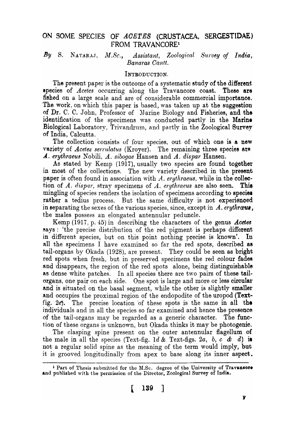# ON SOME SPECIES OF ACETES (CRUSTACEA, SERGESTIDAE) FROM TRAVANCORE<sup>1</sup>

# By S. NATARAJ, *M.Sc.*, *Assistant*, *Zoological Survey of India*, *Banaras Oantt.*

#### INTRODUCTION.

The present paper is the outcome of a systematic study of the different species of *Acetes* occurring along the Travancore coast. These are fished on a large scale and are of considerable commercial importance. The work, on which this paper is based, was taken up at the suggestion of Dr. C. C. John, Professor of Marine Biology and Fisheries, and the identification of the specimens was conducted partly in the Marine Biological Laboratory, Trivandrum, and partly in the Zoological Survey of India, Calcutta.

The collection consists of four species, out of which one is a new variety of *Acetes serrulatus (Kroyer)*. The remaining three species are *A. erythraeus* Nobili, *A. sibogae* Hansen and *A. dispar* Hansen.

As stated by Kemp  $(1917)$ , usually two species are found together in most of the collections. The new variety described in the present paper is often found in association with *A. erythraeus*, while in the collection of  $A$ . *dispar*, stray specimens of  $A$ . *erythraeus* are also seen. This mingling of species renders the isolation of specimens according to species rather a tedius process. But the same difficulty is not experienced in separating the sexes of the various species, since, except in  $\Lambda$ . *erythrous*, the males possess an elongated antennular peduncle.

Kemp (1917, p. 45) in describing the characters of the genus *Acete6* says: 'the precise distribution of the red pigment is perhaps different in different species, but on this point nothing precise is known'. In all the specimens I have examined so far the red spots, described as tail-organs by Okada (1928), are present. They could be seen as bright red spots when fresh, but in preserved specimens the red colour fade8 and disappears, the region of the red spots alone, being distinguishable as dense white patches. In all species there are two pairs of these tailorgans, one pair on each side. One spot is large and more or less circular and is situated on the basal segment, while the other is slightly smaller and occupies the proximal region of the endopodite of the uropod (Textfig. 2 $e$ . The precise location of these spots is the same in all the individuals and in all the species so far examined and hence the presence of the tail-organs may be regarded as a generic character. The function of these organs is unknown, but Okada thinks it may be photogenic.

The clasping spine present on the outer antennular flagellum of the male in all the species (Text-fig.  $1d \&$  Text-figs. 2a, b, c  $\& d$ ) is not a regular solid spine as the meaning of the term would imply, but it is grooved longitudinally from apex to base along its inner aspect.

<sup>&</sup>lt;sup>1</sup> Part of Thesis submitted for the M.Sc. degree of the University of Travancore and published with the permission of the Director, Zoological Survey of India.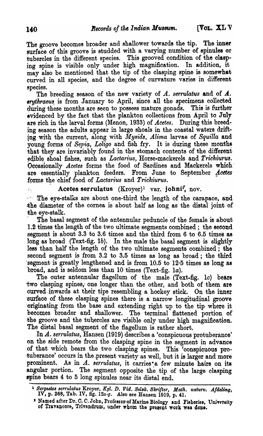The groove becomes broader and shallower towards the tip. The inner surface of this groove is studded with a varying number of spinules or tubercles in the different species. This grooved condition of the clasping spine is visible only under high magnification. In addition, it may also be mentioned that the tip of the clasping spine is somewhat curved in all species, and the degree of curvature varies in different

species.<br>The breeding season of the new variety of  $A$ . *serrulatus* and of  $A$ . erythraeus is from January to April, since all the specimens collected during these months are seen to possess mature gonads. This is further evidenced by the fact that the plankton collections from April to July are rich in the larval forms (Menon, 1933) of *Acetes.* During this breeding season the adults appear in large shoals in the coastal waters drifting with the current, along with *Mysid8, Alima* larvae of Squilla and young forms of Sepia, Loligo and fish fry. It is during these months that they are invariably found in the stomach contents of the different edible shoal fishes, such as *Lactarius*, Horse-mackerels and Trichiurus. Occasionally *Acetes* forms the food of Sardines and Mackerels which are essentially plankton feeders. From June to September Acetes forms the chief food of *Lactarius* and *Trichiurus*.

. Acetes serrulatus  $(Kroyer)^1$  var. johni<sup>2</sup>, nov.

... The eye-stalks are about one-third the length of the carapace, and the diameter of the cornea is about half as long as the distal joint of ·the eye.stalk.

The basal segment of the antennular peduncle of the female is about 1.2 times the length of the two ultimate segments combined; the second segment is about 3.3 to 3.6 times and the third from 6 to 6.5 times as long as broad (Text-fig. 1b). In the male the basal segment is slightly less than half the length of the two ultimate segments combined; the second segment is from 3.2 to 3.5 times as long as broad; the third segment is greatly lengthened and is from  $10.5$  to  $12.5$  times as long as broad, and is seldom less than 10 times (Text-fig. la).

The outer antennular flagellum of the male (Text-fig. *Ie)* bears two clasping spines, one longer than the other, and both of them are curved inwards at their tips resembling a hockey stick. On the inner 'surface of these clasping spines there is a narrow longitudinal groove 'originating from the base and extending right up to the tip where it. becomes broader and shallower. The terminal flattened portion of the groove and the tubercles are visible only under high magnification. The distal basal segment of the flagellum is rather short.

In *A. serrulatus,* Hansen (1919) describes a 'conspicuous protuberance' on the side remote from the clasping spine in the segment in advance of that which bears the two clasping spines. This 'conspicuous protuberance' occurs in the present variety as well, but it is larger and more prominent. As in *A. serrulatus*, it carries'a few minute hairs on its angular portion. The segment opposite the tip of the large clasping spine bears 4 to 5 long spinules near its distal end.

<sup>&</sup>lt;sup>1</sup> Sergestes serrulatus Kroyer, *Kgl. D. Vid. Selsk. Skrifter, Math. naturv. Afdeling,* IV, p. 268, Tab. IV, fig. 12a-g. Also see Hansen 1919, p. 41.

<sup>&</sup>lt;sup>2</sup> Named after Dr. C. C. John, Professor-of Marine Biology and Fieheries, University .  $\alpha$ f Travancore, Trivandrum, under whom the present work was done.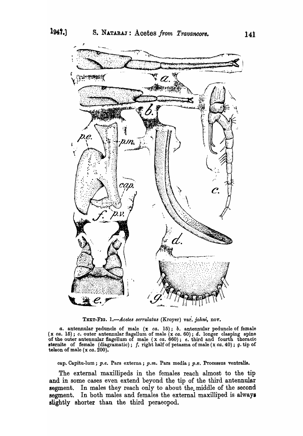

TEXT-FIG. 1.-Acetes serrulatus (Kroyer) var. johni, nov.

*a.* antennular peduncle of male (x *ca.* 15); *b.* antennular peduncle of female (x *ca.* 15); c. outer antennular flagellum of male (x *ca.* 60); d. longer clasping spine of the outer antennular flagellum of male (x *ca.* 660); *e.* third and fourth thoracic sternite of female (diagramatic); f. right half of petasma of male  $(x ca. 40)$ ; g.tip of telson of male  $(x \text{ ca. } 200)$ .

cap. Capitu-lum; *p.e. Pars externa; p.m. Pars media; p.v. Processus ventralis.* 

The external maxillipeds in the females reach almost to the tip and in some cases even extend beyond the tip of the third antennular segment. In males they reach only to about the middle of the second segment. In both males and females the external maxilliped is always slightly shorter than the third peraeopod.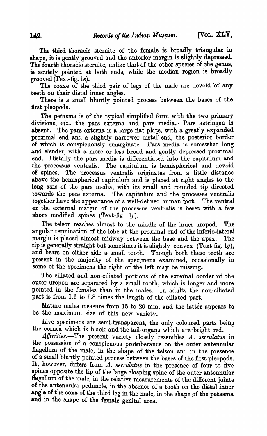The third thoracic sternite of the female is broadly triangular in ahape, it is gently' grooved and the anterior margin is slightly depressed. The fourth thoracic sternite, unlike that of the other species of the genus, is acutely pointed at both: ends, while the median region is broadly grooved (Text-fig. Ie).

The coxae of the third pair of legs of the male are devoid of any teeth on their distal inner angles. .

There is a small bluntly pointed process between the bases of the first pleopods.

The petasma is of the typical simplified form with the two primary divisions, *viz.*, the pars externa and pars media. Pars astringen is absent. The pars externa is a large flat plate, with a greatly expanded proximal end and a slightly narrower distal" end, the posterior border of which is conspicuously emarginate. Pars media is somewhat long and slender, with a more or less broad and gently depressed proximal end. Distally the pars media is differentiated into the capitulum and the processus ventralis. The capitulum is hemispherical and devoid of spines. The processus ventralis originates from a little distance above the hemispherical capitulum and is placed at right angles to the long axis of the pars media, with its small and rounded tip. directed towards the pars externa. The capitulum and the processes ventralis together have the appearance of a well-defined human foot. The ventral or the external margin of the processus ventralis is beset with a few short modified spines  $(Text-fig. 1f)$ .

The telson reaches, almost to the middle of the inner uropod. The angular termination of the lobe at the proximal end of the inferio-lateral margin is placed almost midway between the base and the apex. The tip is generally straight but sometimes it is slightly convex (Text-fig. 1g), and bears on either side a small tooth. Though both these teeth are present in the majority of the specimens examined, occasionally in some of the specimens the right or the left may be missing.

The ciliated and non-ciliated portions of the external border of the outer uropod are separated by a small tooth, which 'is longer and more pointed in the females than in the males. In adults the non-ciliated part is from 1.6 to 1.8 times the length of the ciliated part.

Mature males measure from 15 to 20 mm. and the latter appears to be the maximum size of this new variety.

Live specimens are semi-transparent, the only coloured parts being the cornea which is black and the tail-organs which are-bright red.

Affinities.-The present variety closely resembles A. serrulatus in the possession of a conspicuous protuberance on the outer antennular flagellum of the male, in the shape of the telson and in the presence of a small bluntly pointed process between the bases of the first pleopods. It, however, differs from *A. serrulatus* in the presence of four to five spines opposite the tip of the large clasping spine of the outer antennular flagellum of the male, in the relative measurements of the different joints of the antennular peduncle, in the absence of a tooth on the distal inner angle of the coxa of the third leg in the male, in the shape of the petasma and in the shape of the female genital area.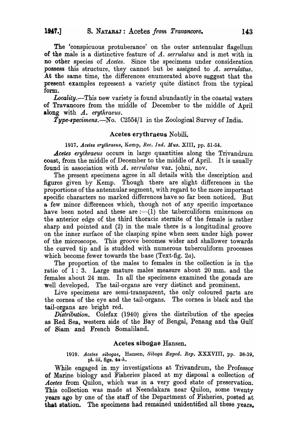The 'conspicuous protuberance' on the outer antennular flagellum. of the male is a distinctive feature of *A. serrulatus* and is met with in no other species of *Acetes.* Since the specimens under consideration possess this structure, they cannot but be assigned to *A. serrulatus.* At the same time, the differences enumerated above suggest that the present examples represent a variety quite distinct from the typical form.

Locality.—This new variety is found abundantly in the coastal waters of Travancore from the middle of December to the middle of April along with *A.. erythraeus.* 

Type-specimens.—No.  $C2554/1$  in the Zoological Survey of India.

## Acetes erythraeus Nobili.

### 1917. Acetes erythraeus, Kemp, *Rec. Ind. Mus.* XIII, pp. 51-54.

**Acetes erythraeus occurs in large quantities along the Trivandrum** coast, from the middle of December to the middle of April. It is usually found in association with *A. serrulatus* var. johni, nov.

The present specimens agree in all details with the description and figures given by Kemp. Though there are slight differences in the proportions of the antennular segment, with regard to the more important specific characters no marked differences have so far been noticed. But a few minor differences which, though not of any specific importance have been noted and these are  $:-(1)$  the tuberculiform eminences on the anterior edge of the third thoracic sternite of the female is rather sharp and pointed and (2) in the male there is a longitudinal groove on the inner surface of the clasping spine when seen under high power of the microscope. This groove becomes wider and shallower towards the curved tip and is studded with numerous tuberculiform processes which become fewer towards the base (Text-fig.  $2a$ ).

The proportion of the males to females in the collection is in the ratio of  $1:3$ . Large mature males measure about  $20$  mm. and the females about  $24$  mm. In all the specimens examined the gonads are well developed. The tail-organs are very distinct and prominent.

Live specimens are semi-transparent, the only coloured parts are the cornea of the eye and the tail-organs. The cornea is black and the tail-organs are bright red.

*Distribution.* Colefax (1940) gives the distribution of the species as Red Sea, western side of the Bay of Bengal, Penang and the Gulf of Siam' and French Somaliland.

### Acetes sibogae Hansen.

### *1919. Acetes sibogae,* Hansen, *Siboga Exped. Rep.* XXXVIII, pp. 38.39, pl. iii, figs. *4a-k.*

While engaged in my investigations at Trivandrum, the Professor of Marine biology and Fisheries' placed at my disposal a collection of *Acetes* from Quilon, which was in a very good s'tate of preservation. This collection was made at Neendakara near Quilon, some twenty years ago by one of the staff of the Department of Fisheries, posted at that station. The specimens had remained unidentified all these years.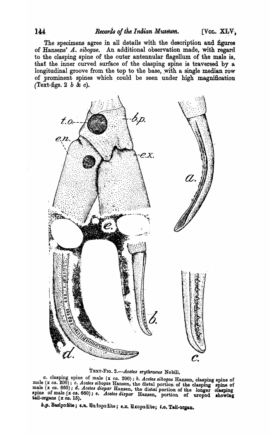The specimens agree in all details with the description and figures of Hansens' A. *sibogae*. An additional observation made, with regard to the clasping spine of the outer antennular flagellum of the male is, that the inner curved surface of the clasping spine is traversed by a longitudinal groove from the top to the base, with a single median row of prominent spines which could be seen under high magnification (Text-figs. 2 b  $\&c$ ).



TEXT-FIG. 2.- Acetes erythraeus Nobili.

*a.* clasping spine of male (x *ca.* 200); *b. Acetes sibogae* Hansen, clasping spine of male  $(x \text{ ca. } 200)$ ; *c. Acetes sibogae* Hansen, the distal portion of the clasping spine of male (x *ca.* 660); d. Acetes dispar Hansen, the distal portion of the longer olasping  $\mathcal{L}$  apine of male  $(x \text{ } ca. \text{ } 660)$ ; *e. Acetes dispar* Hansen, portion of uropod showing tail-organs  $(x \text{ } ca. \text{ } 15)$ . tail-organs  $(x \text{ ca. } 15)$ .<br>b.p. Basipodite; e.n. En lopodite; e.x. Exopodite;  $t.a.$  Tail-organ.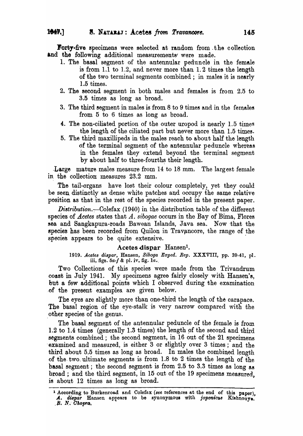Forty-five specimens were selected at random from the collection and the following additional measurements' were made.

- 1. The basal segment of the antennular peduncle in the female is from 1.1 to 1.2, and never more than  $1.2$  times the length of the two terminal segments combined; in males it is nearly 1.5 times.
- 2. The second segment in both males and females is from  $2.5$  to 3.5 times as long as broad.
- 3. The third segment in males is from  $8$  to  $9$  times and in the females from 5 to 6 times as long as broad.
- 4. The non-ciliated portion of the outer uropod is nearly 1.5 times the length of the ciliated part but never more than 1.5 times.
- 5. The third maxillipeds in the males reach to- about half the length of the terminal segment of the antennular peduncle whereas in the females they extend beyond the terminal segment by about half to three-fourths their length.

-Large mature males measure from 14 to 18 mm. The largest female in the collection measures 23.2 mm.

The tail-organs have lost their colour completely, yet they could be seen. distinctly as dense white patches and occupy the same relative position as that in the rest of the species recorded hi the present paper.

*Distribution.*—Colefax (1940) in the distribution table of the different species of *Acetes* states that A. sibogae occurs in the Bay of Bima, Flores sea and Sangkapura-roads Bawean Islands, Java sea. Now that the species has been recorded from Quilon in Travancore, the range of the species appears to be quite extensive.

#### Acetes dispar Hansen<sup>1</sup>.

1919. Acetes dispar, Hansen, *Siboga Exped. Rep.* XXXVIII, pp. 39-41, pl. iii, figs.  $5a-f$  & pl. iv, fig.  $1a$ .

Two Collections of this species were made from the Trivandrum coast in July 1941. My specimens agree fairly closely with Hansen'e, hut a few additional points which I observed during the examination .of the present examples. are given below.

The eyes are slightly more than one-third the length of the carapace. The basal region of the eye-stalk is very narrow compared with the .other species of the genus.

The basal segment of the antennular peduncle of the female is from 1.2 to 1.4 times (generally 1.3 times) the length pf the second and third segments combined; the second segment, in 16 out of the 21 specimens examined and measured, is either 3 or slightly over 3 times; and the third about 5.5 times as long as broad. In males the combined length of the two. ultimate segments is from 1.8 to 2 times the length of the basal segment; the second segment is from 2.5 to 3.3 times as long as broad; and the third segment, in 15 out of the 19 specimens measured, is about 12 times as long as broad.

<sup>&</sup>lt;sup>1</sup> According to Burkenroad and Colefax (see references at the end of this paper). A. *dispar* Hansen appears to be synonymous with *joponicus* Kishnouye. *B. N. Ohopra.*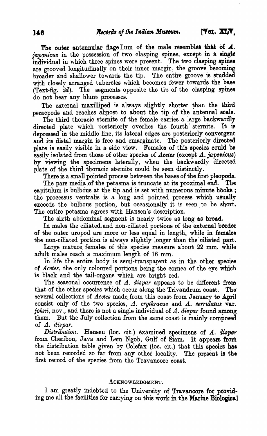The outer antennular flage llum of the male resembles that of  $\boldsymbol{A}$ . *japonicus* in the possession of two clasping spines, except in a single individual in which three spines were present. The two clasping spines are grooved longitudinally on their inner margin, the groove becoming broader and shallower towards the tip. The entire groove is studded with closely arranged tubercles which becomes fewer towards the base (Text-fig.  $2d$ ). The segments opposite the tip of the clasping spines do not bear any blunt processes.

The external maxilliped is always slightly shorter than the third peraepods and reaches almost to about the tip of the antennal scale.

The third thoracic sternite of the female carries a large backwardly directed plate which posteriorly overlies the fourth sternite. It is depressed in the middle line, its lateral edges are posteriorly convergent and its distal margin is free and emarginate. The posteriorly directed plate is easily visible in a side view. Females of this species could be easily isolated from those of other species of *Acetes* (except *A. japonicus*) by viewing the specimens laterally, when the backwardly directed plate of the third thoracic sternite could be seen distinctly.

There is a small pointed process between the bases of the first pleopods.

The pars media of the petasma is truncate at its proximal end. The eapitulum is bulbous at the tip and is set with numerous minute hooks; the processus ventralis is a long and pointed process whioh usually exceeds the bulbous portion, but occasionally it is seen to be short. The entire petasma agrees with Hansen's description.

The sixth abdominal segment is nearly twice as long as broad.

In males the ciliated and non-ciliated portions of the external border of the outer uropod are more or less equal in length, while in females the non-ciliated portion is always slightly longer than the ciliated part.

Large mature females of this species measure about 22 mm. while adult males reach a maximum length of 16 mm.

In life the entire body is semi-transparent as in the other species of *Acetes*, the only coloured portions being the cornea of the eye which is black and the tail-organs which are bright red.

The seasonal occurrence of *A. dispar* appears to be different from. that of the other species which occur along the Trivandrum coast. Ths' several collections of *Acetes* made from this coast from January to April consist only of the two species, A. erythraeus and A. serrulatus var. *johni*, nov., and there is not a single individual of A. *dispar* found among them. But the July collection from the same coast is mainly composed of *A. dispar.* 

Distribution. Hansen (loc. cit.) examined specimens of  $A$ . dispar from Cheribon, Java and Lem Ngob, Gulf of Siam. It appears from the distribution table given by Colefax (loc. cit.) that this species has not been recorded so far from any other locality. The present is the first record of the species from the Travancore coast.

## ACKNOWLEDGMENT.

I am greatly indebted to the University of Travancore for providing me all the facilities for carrying on this work in the Marine Biological